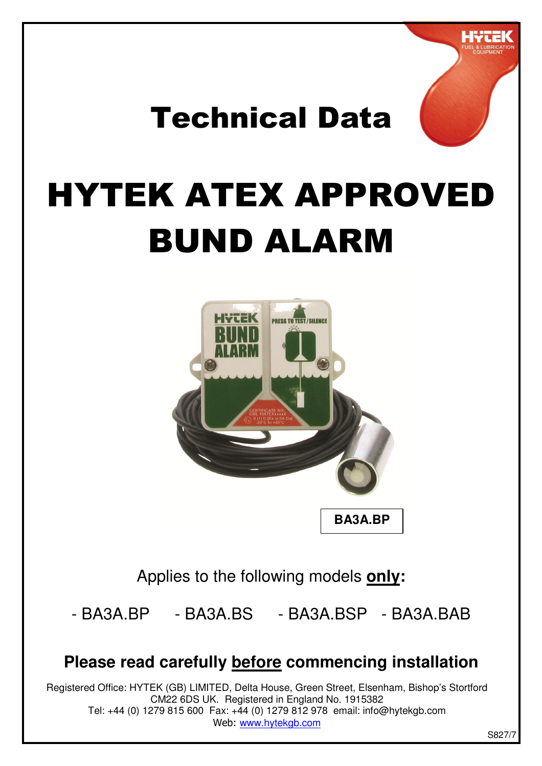

# Technical Data

# HYTEK ATEX APPROVED BUND ALARM



Applies to the following models **only:**

- BA3A.BP - BA3A.BS - BA3A.BSP - BA3A.BAB

#### **Please read carefully before commencing installation**

Registered Office: HYTEK (GB) LIMITED, Delta House, Green Street, Elsenham, Bishop's Stortford CM22 6DS UK. Registered in England No. 1915382 Tel: +44 (0) 1279 815 600 Fax: +44 (0) 1279 812 978 email: info@hytekgb.com Web: www.hytekgb.com

S827/7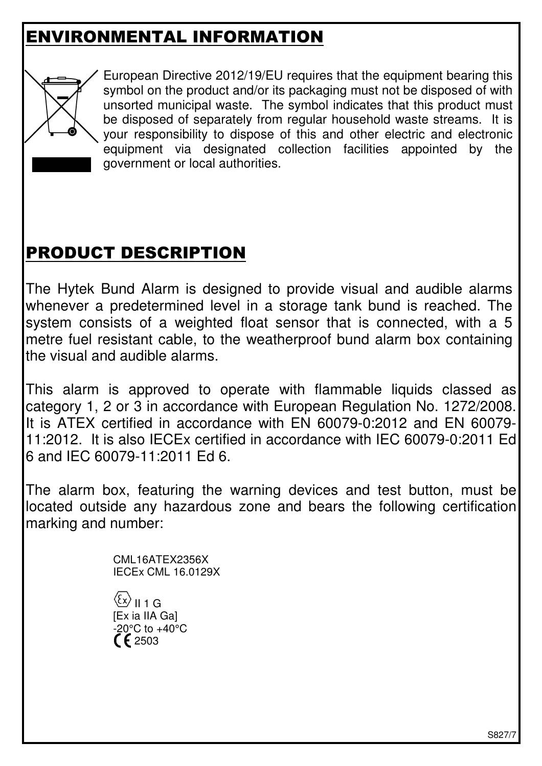# ENVIRONMENTAL INFORMATION



 European Directive 2012/19/EU requires that the equipment bearing this symbol on the product and/or its packaging must not be disposed of with unsorted municipal waste. The symbol indicates that this product must be disposed of separately from regular household waste streams. It is your responsibility to dispose of this and other electric and electronic equipment via designated collection facilities appointed by the government or local authorities.

# PRODUCT DESCRIPTION

The Hytek Bund Alarm is designed to provide visual and audible alarms whenever a predetermined level in a storage tank bund is reached. The system consists of a weighted float sensor that is connected, with a 5 metre fuel resistant cable, to the weatherproof bund alarm box containing the visual and audible alarms.

This alarm is approved to operate with flammable liquids classed as category 1, 2 or 3 in accordance with European Regulation No. 1272/2008. It is ATEX certified in accordance with EN 60079-0:2012 and EN 60079- 11:2012. It is also IECEx certified in accordance with IEC 60079-0:2011 Ed 6 and IEC 60079-11:2011 Ed 6.

The alarm box, featuring the warning devices and test button, must be located outside any hazardous zone and bears the following certification marking and number:

> CML16ATEX2356X IECEx CML 16.0129X

 $\langle \xi \mathsf{x} \rangle$  II 1 G [Ex ia IIA Ga]  $-20^{\circ}$ C to  $+40^{\circ}$ C  $F_{2503}$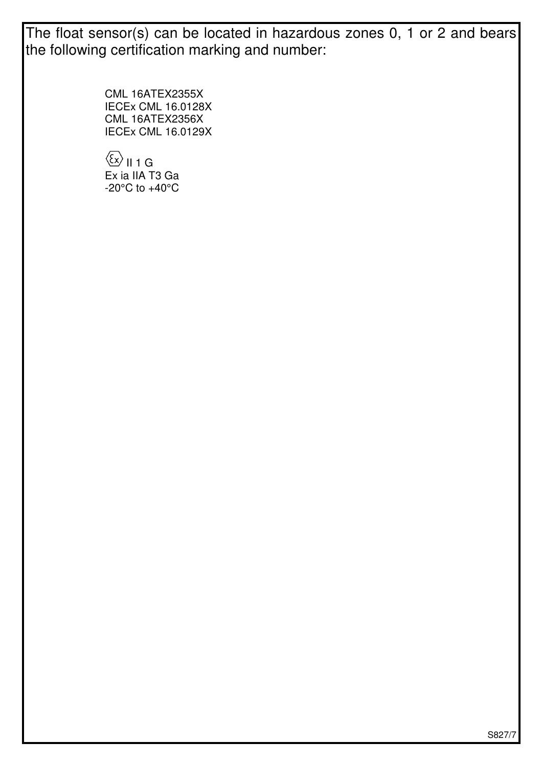The float sensor(s) can be located in hazardous zones 0, 1 or 2 and bears the following certification marking and number:

> CML 16ATEX2355X IECEx CML 16.0128X CML 16ATEX2356X IECEx CML 16.0129X

 $\langle \overline{\mathcal{E}} \mathbf{x} \rangle$  II 1 G Ex ia IIA T3 Ga  $-20^{\circ}$ C to  $+40^{\circ}$ C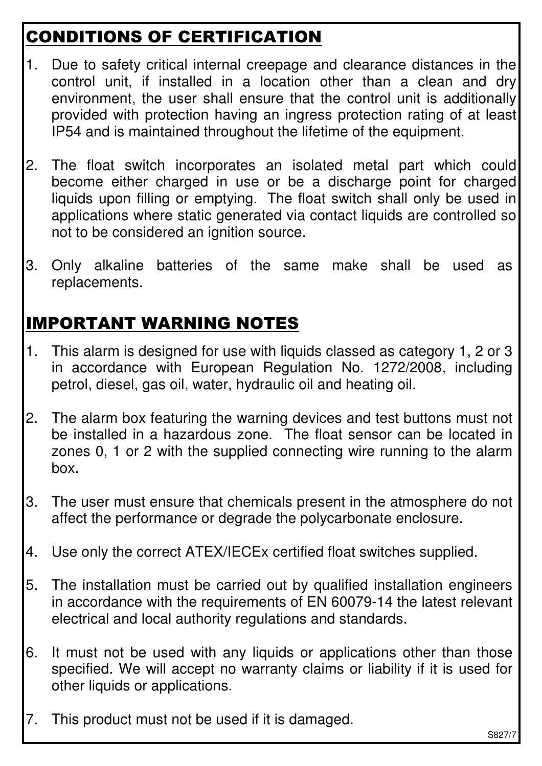# CONDITIONS OF CERTIFICATION

- 1. Due to safety critical internal creepage and clearance distances in the control unit, if installed in a location other than a clean and dry environment, the user shall ensure that the control unit is additionally provided with protection having an ingress protection rating of at least IP54 and is maintained throughout the lifetime of the equipment.
- 2. The float switch incorporates an isolated metal part which could become either charged in use or be a discharge point for charged liquids upon filling or emptying. The float switch shall only be used in applications where static generated via contact liquids are controlled so not to be considered an ignition source.
- 3. Only alkaline batteries of the same make shall be used as replacements.

# IMPORTANT WARNING NOTES

- 1. This alarm is designed for use with liquids classed as category 1, 2 or 3 in accordance with European Regulation No. 1272/2008, including petrol, diesel, gas oil, water, hydraulic oil and heating oil.
- 2. The alarm box featuring the warning devices and test buttons must not be installed in a hazardous zone. The float sensor can be located in zones 0, 1 or 2 with the supplied connecting wire running to the alarm box.
- 3. The user must ensure that chemicals present in the atmosphere do not affect the performance or degrade the polycarbonate enclosure.
- 4. Use only the correct ATEX/IECEx certified float switches supplied.
- 5. The installation must be carried out by qualified installation engineers in accordance with the requirements of EN 60079-14 the latest relevant electrical and local authority regulations and standards.
- 6. It must not be used with any liquids or applications other than those specified. We will accept no warranty claims or liability if it is used for other liquids or applications.
- 7. This product must not be used if it is damaged.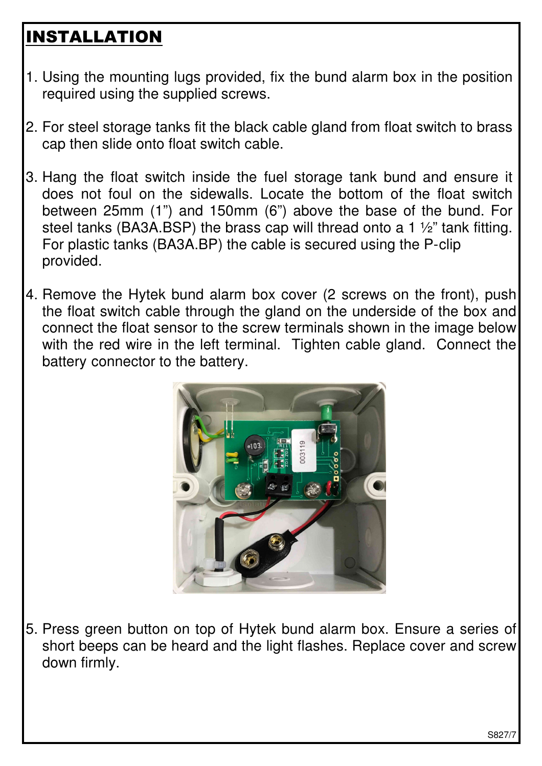# INSTALLATION

- 1. Using the mounting lugs provided, fix the bund alarm box in the position required using the supplied screws.
- 2. For steel storage tanks fit the black cable gland from float switch to brass cap then slide onto float switch cable.
- 3. Hang the float switch inside the fuel storage tank bund and ensure it does not foul on the sidewalls. Locate the bottom of the float switch between 25mm (1") and 150mm (6") above the base of the bund. For steel tanks (BA3A.BSP) the brass cap will thread onto a 1 ½" tank fitting. For plastic tanks (BA3A.BP) the cable is secured using the P-clip provided.
- 4. Remove the Hytek bund alarm box cover (2 screws on the front), push the float switch cable through the gland on the underside of the box and connect the float sensor to the screw terminals shown in the image below with the red wire in the left terminal. Tighten cable gland. Connect the battery connector to the battery.



5. Press green button on top of Hytek bund alarm box. Ensure a series of short beeps can be heard and the light flashes. Replace cover and screw down firmly.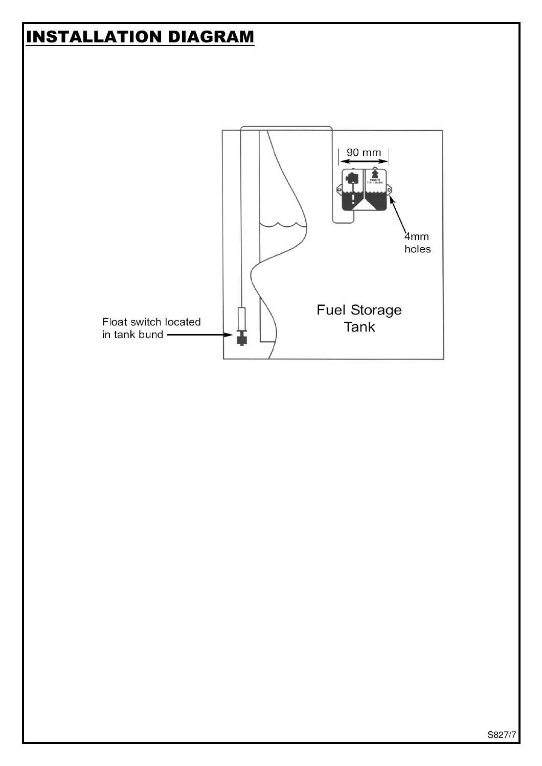### INSTALLATION DIAGRAM

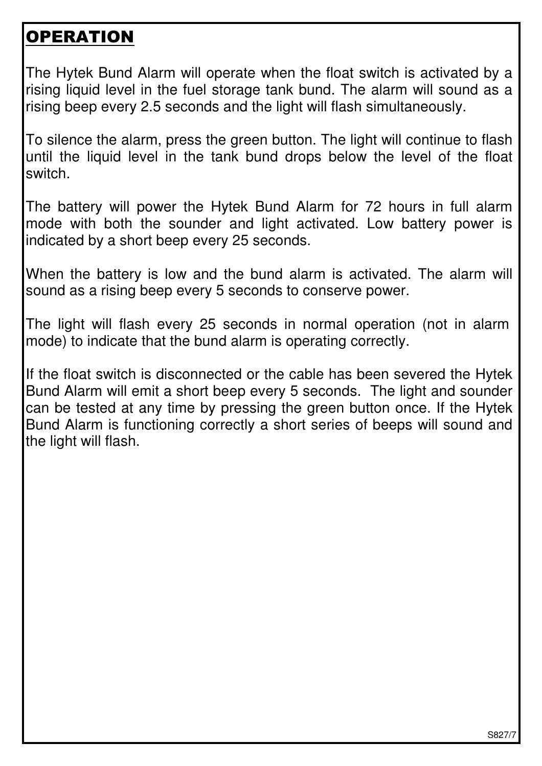#### **OPERATION**

The Hytek Bund Alarm will operate when the float switch is activated by a rising liquid level in the fuel storage tank bund. The alarm will sound as a rising beep every 2.5 seconds and the light will flash simultaneously.

To silence the alarm, press the green button. The light will continue to flash until the liquid level in the tank bund drops below the level of the float switch.

The battery will power the Hytek Bund Alarm for 72 hours in full alarm mode with both the sounder and light activated. Low battery power is indicated by a short beep every 25 seconds.

When the battery is low and the bund alarm is activated. The alarm will sound as a rising beep every 5 seconds to conserve power.

The light will flash every 25 seconds in normal operation (not in alarm mode) to indicate that the bund alarm is operating correctly.

If the float switch is disconnected or the cable has been severed the Hytek Bund Alarm will emit a short beep every 5 seconds. The light and sounder can be tested at any time by pressing the green button once. If the Hytek Bund Alarm is functioning correctly a short series of beeps will sound and the light will flash.